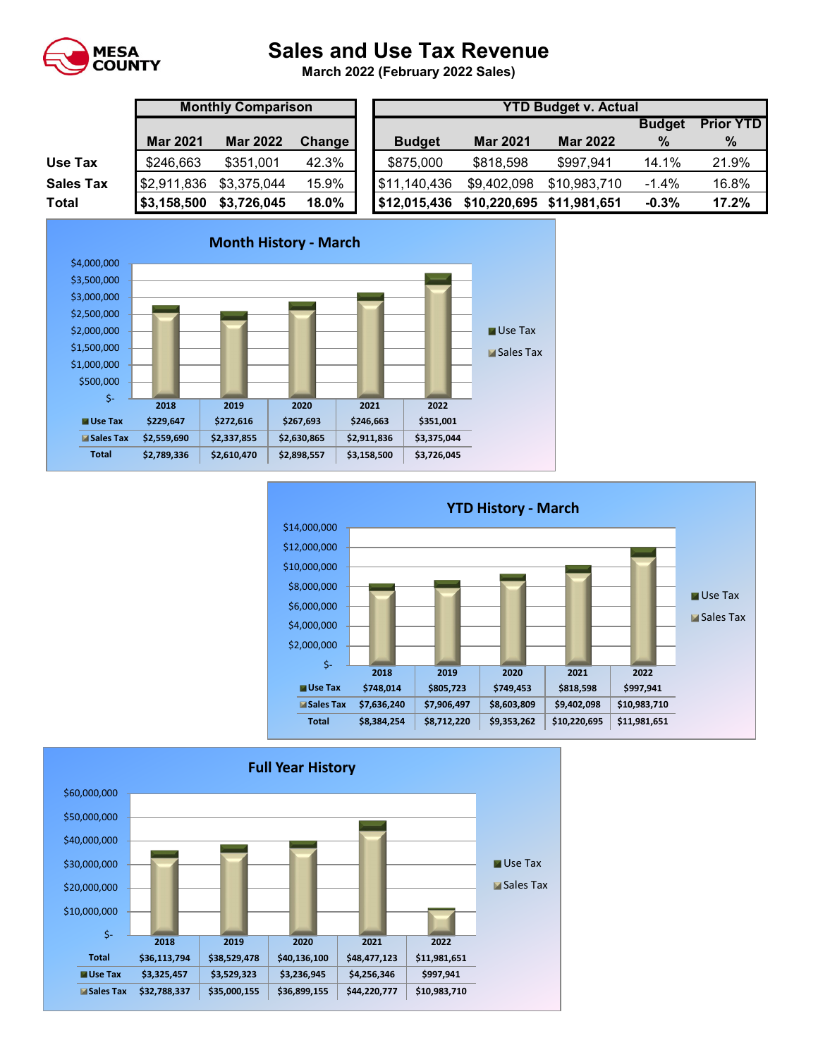

## **Sales and Use Tax Revenue**

**March 2022 (February 2022 Sales)** 

|                  | <b>Monthly Comparison</b> |                 |               | <b>YTD Budget v. Actual</b> |                 |                           |               |                 |  |  |
|------------------|---------------------------|-----------------|---------------|-----------------------------|-----------------|---------------------------|---------------|-----------------|--|--|
|                  |                           |                 |               |                             |                 |                           | <b>Budget</b> | <b>Prior YT</b> |  |  |
|                  | <b>Mar 2021</b>           | <b>Mar 2022</b> | <b>Change</b> | <b>Budget</b>               | <b>Mar 2021</b> | <b>Mar 2022</b>           | $\frac{0}{0}$ | %               |  |  |
| Use Tax          | \$246,663                 | \$351,001       | 42.3%         | \$875,000                   | \$818,598       | \$997,941                 | 14.1%         | 21.9%           |  |  |
| <b>Sales Tax</b> | \$2,911,836               | \$3,375,044     | 15.9%         | \$11,140,436                | \$9,402,098     | \$10,983,710              | $-1.4%$       | 16.8%           |  |  |
| <b>Total</b>     | \$3,158,500               | \$3,726,045     | 18.0%         | \$12,015,436                |                 | \$10,220,695 \$11,981,651 | $-0.3%$       | 17.2%           |  |  |

|                  |                 | <b>Monthly Comparison</b> |               |               | <b>YTD Budget v. Actual</b> |                 |               |                  |  |  |
|------------------|-----------------|---------------------------|---------------|---------------|-----------------------------|-----------------|---------------|------------------|--|--|
|                  |                 |                           |               |               |                             |                 | <b>Budget</b> | <b>Prior YTD</b> |  |  |
|                  | <b>Mar 2021</b> | <b>Mar 2022</b>           | <b>Change</b> | <b>Budget</b> | <b>Mar 2021</b>             | <b>Mar 2022</b> | $\%$          | %                |  |  |
| Use Tax          | \$246,663       | \$351,001                 | 42.3%         | \$875,000     | \$818,598                   | \$997,941       | 14.1%         | 21.9%            |  |  |
| <b>Sales Tax</b> | \$2,911,836     | \$3,375,044               | 15.9%         | \$11,140,436  | \$9,402,098                 | \$10,983,710    | $-1.4%$       | 16.8%            |  |  |
| Total            | \$3,158,500     | \$3,726,045               | 18.0%         | \$12,015,436  | \$10,220,695 \$11,981,651   |                 | $-0.3%$       | 17.2%            |  |  |





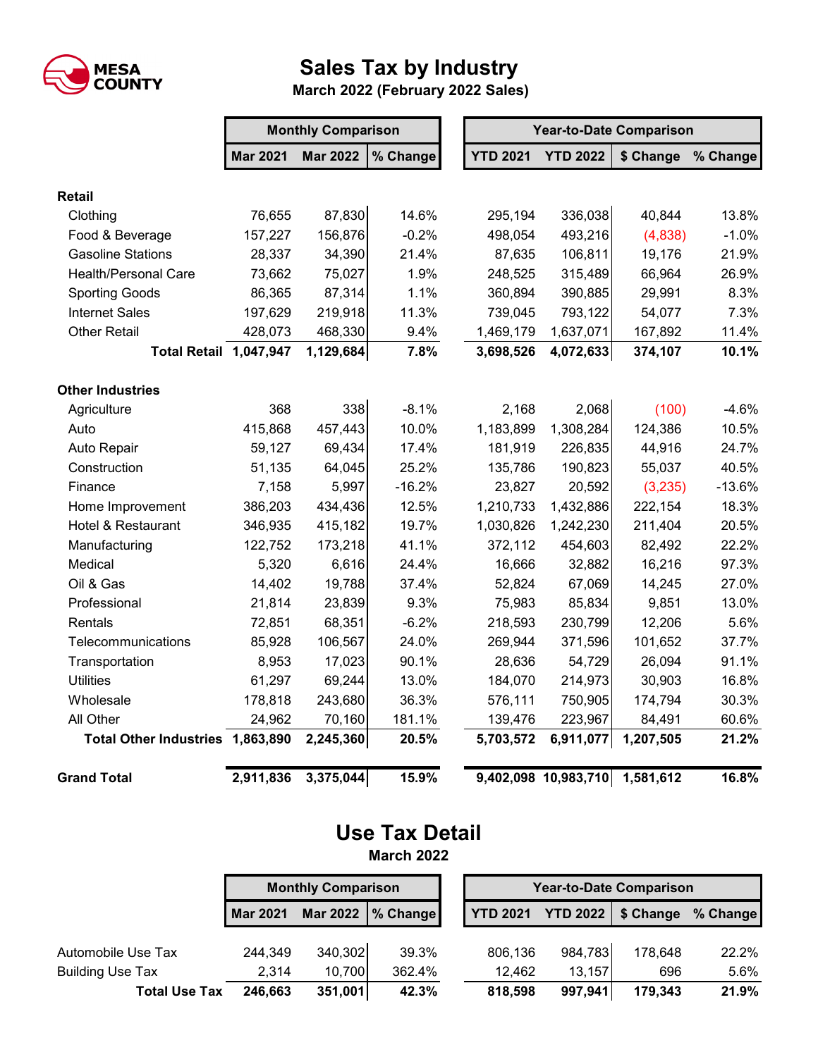

## **Sales Tax by Industry**

 **March 2022 (February 2022 Sales)**

|                                  | <b>Monthly Comparison</b> |                 |          |  | <b>Year-to-Date Comparison</b> |                      |           |          |
|----------------------------------|---------------------------|-----------------|----------|--|--------------------------------|----------------------|-----------|----------|
|                                  | <b>Mar 2021</b>           | <b>Mar 2022</b> | % Change |  | <b>YTD 2021</b>                | <b>YTD 2022</b>      | \$ Change | % Change |
| <b>Retail</b>                    |                           |                 |          |  |                                |                      |           |          |
| Clothing                         | 76,655                    | 87,830          | 14.6%    |  | 295,194                        | 336,038              | 40,844    | 13.8%    |
| Food & Beverage                  | 157,227                   | 156,876         | $-0.2%$  |  | 498,054                        | 493,216              | (4,838)   | $-1.0%$  |
| <b>Gasoline Stations</b>         | 28,337                    | 34,390          | 21.4%    |  | 87,635                         | 106,811              | 19,176    | 21.9%    |
| <b>Health/Personal Care</b>      | 73,662                    | 75,027          | 1.9%     |  | 248,525                        | 315,489              | 66,964    | 26.9%    |
| <b>Sporting Goods</b>            | 86,365                    | 87,314          | 1.1%     |  | 360,894                        | 390,885              | 29,991    | 8.3%     |
| <b>Internet Sales</b>            | 197,629                   | 219,918         | 11.3%    |  | 739,045                        | 793,122              | 54,077    | 7.3%     |
| <b>Other Retail</b>              | 428,073                   | 468,330         | 9.4%     |  | 1,469,179                      | 1,637,071            | 167,892   | 11.4%    |
| <b>Total Retail 1,047,947</b>    |                           | 1,129,684       | 7.8%     |  | 3,698,526                      | 4,072,633            | 374,107   | 10.1%    |
| <b>Other Industries</b>          |                           |                 |          |  |                                |                      |           |          |
| Agriculture                      | 368                       | 338             | $-8.1%$  |  | 2,168                          | 2,068                | (100)     | $-4.6%$  |
| Auto                             | 415,868                   | 457,443         | 10.0%    |  | 1,183,899                      | 1,308,284            | 124,386   | 10.5%    |
| Auto Repair                      | 59,127                    | 69,434          | 17.4%    |  | 181,919                        | 226,835              | 44,916    | 24.7%    |
| Construction                     | 51,135                    | 64,045          | 25.2%    |  | 135,786                        | 190,823              | 55,037    | 40.5%    |
| Finance                          | 7,158                     | 5,997           | $-16.2%$ |  | 23,827                         | 20,592               | (3,235)   | $-13.6%$ |
| Home Improvement                 | 386,203                   | 434,436         | 12.5%    |  | 1,210,733                      | 1,432,886            | 222,154   | 18.3%    |
| Hotel & Restaurant               | 346,935                   | 415,182         | 19.7%    |  | 1,030,826                      | 1,242,230            | 211,404   | 20.5%    |
| Manufacturing                    | 122,752                   | 173,218         | 41.1%    |  | 372,112                        | 454,603              | 82,492    | 22.2%    |
| Medical                          | 5,320                     | 6,616           | 24.4%    |  | 16,666                         | 32,882               | 16,216    | 97.3%    |
| Oil & Gas                        | 14,402                    | 19,788          | 37.4%    |  | 52,824                         | 67,069               | 14,245    | 27.0%    |
| Professional                     | 21,814                    | 23,839          | 9.3%     |  | 75,983                         | 85,834               | 9,851     | 13.0%    |
| <b>Rentals</b>                   | 72,851                    | 68,351          | $-6.2%$  |  | 218,593                        | 230,799              | 12,206    | 5.6%     |
| Telecommunications               | 85,928                    | 106,567         | 24.0%    |  | 269,944                        | 371,596              | 101,652   | 37.7%    |
| Transportation                   | 8,953                     | 17,023          | 90.1%    |  | 28,636                         | 54,729               | 26,094    | 91.1%    |
| <b>Utilities</b>                 | 61,297                    | 69,244          | 13.0%    |  | 184,070                        | 214,973              | 30,903    | 16.8%    |
| Wholesale                        | 178,818                   | 243,680         | 36.3%    |  | 576,111                        | 750,905              | 174,794   | 30.3%    |
| All Other                        | 24,962                    | 70,160          | 181.1%   |  | 139,476                        | 223,967              | 84,491    | 60.6%    |
| Total Other Industries 1,863,890 |                           | 2,245,360       | 20.5%    |  | 5,703,572                      | 6,911,077            | 1,207,505 | 21.2%    |
| <b>Grand Total</b>               | 2,911,836                 | 3,375,044       | 15.9%    |  |                                | 9,402,098 10,983,710 | 1,581,612 | 16.8%    |

## **Use Tax Detail March 2022**

**Mar 2021 Mar 2022 % Change YTD 2021 YTD 2022 \$ Change % Change** Automobile Use Tax  $244,349$   $340,302$   $39.3\%$  806,136  $984,783$  178,648 22.2% Building Use Tax 2,314 10,700 362.4% 12,462 13,157 696 5.6% **Total Use Tax 246,663 351,001 42.3% 818,598 997,941 179,343 21.9% Monthly Comparison Year-to-Date Comparison**